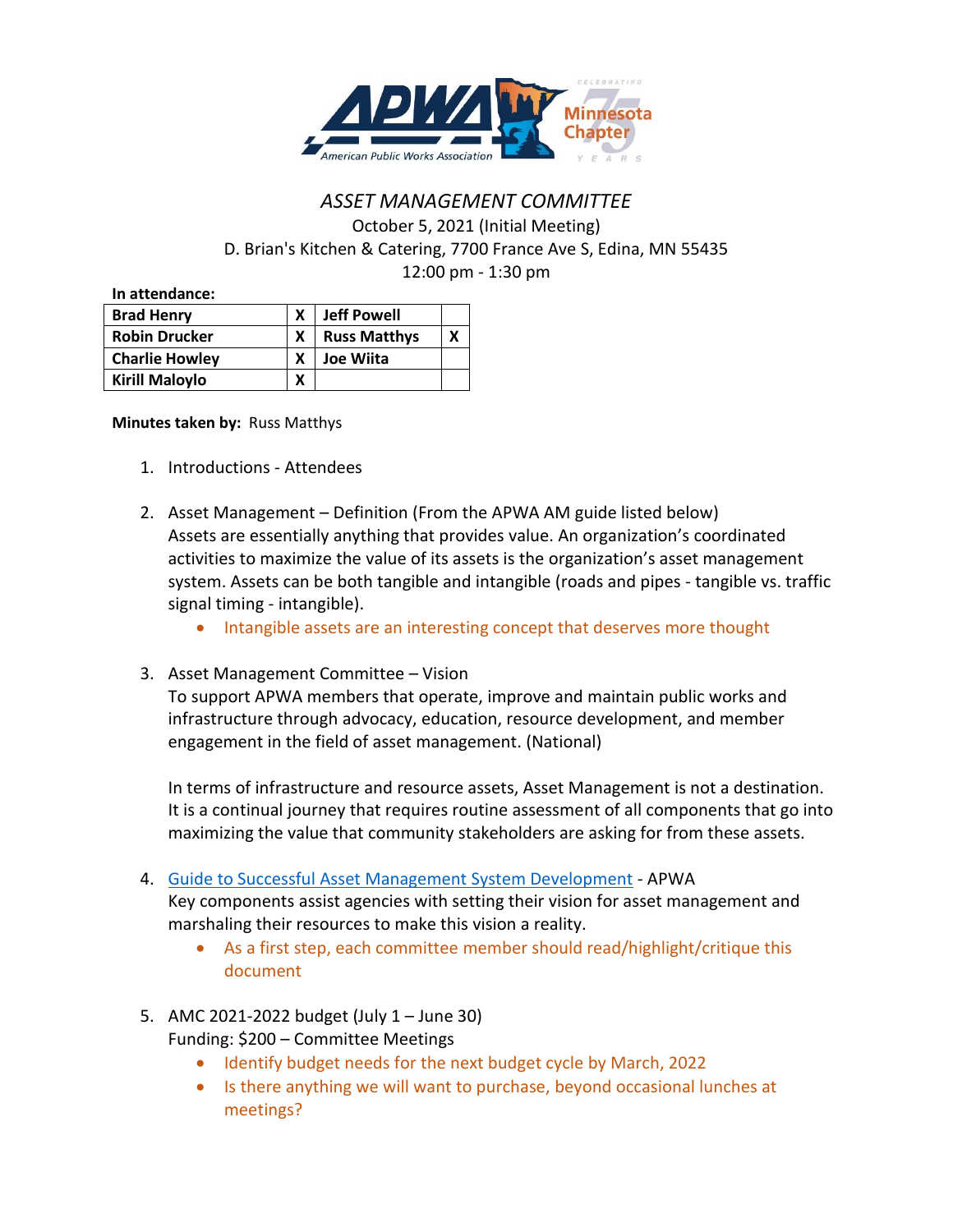

## *ASSET MANAGEMENT COMMITTEE* October 5, 2021 (Initial Meeting) D. Brian's Kitchen & Catering, 7700 France Ave S, Edina, MN 55435 12:00 pm - 1:30 pm

**In attendance:**

| <b>Brad Henry</b>     |   | <b>Jeff Powell</b>  |  |
|-----------------------|---|---------------------|--|
| <b>Robin Drucker</b>  |   | <b>Russ Matthys</b> |  |
| <b>Charlie Howley</b> |   | <b>Joe Wiita</b>    |  |
| <b>Kirill Maloylo</b> | x |                     |  |

## **Minutes taken by:** Russ Matthys

- 1. Introductions Attendees
- 2. Asset Management Definition (From the APWA AM guide listed below) Assets are essentially anything that provides value. An organization's coordinated activities to maximize the value of its assets is the organization's asset management system. Assets can be both tangible and intangible (roads and pipes - tangible vs. traffic signal timing - intangible).
	- Intangible assets are an interesting concept that deserves more thought
- 3. Asset Management Committee Vision

To support APWA members that operate, improve and maintain public works and infrastructure through advocacy, education, resource development, and member engagement in the field of asset management. (National)

In terms of infrastructure and resource assets, Asset Management is not a destination. It is a continual journey that requires routine assessment of all components that go into maximizing the value that community stakeholders are asking for from these assets.

4. [Guide to Successful Asset Management System Development](https://www.apwa.net/MyApwa/Apwa_Public/Resources/Guide_to_Successful_Asset_Management.aspx) - APWA

Key components assist agencies with setting their vision for asset management and marshaling their resources to make this vision a reality.

- As a first step, each committee member should read/highlight/critique this document
- 5. AMC 2021-2022 budget (July 1 June 30) Funding: \$200 – Committee Meetings
	- Identify budget needs for the next budget cycle by March, 2022
	- Is there anything we will want to purchase, beyond occasional lunches at meetings?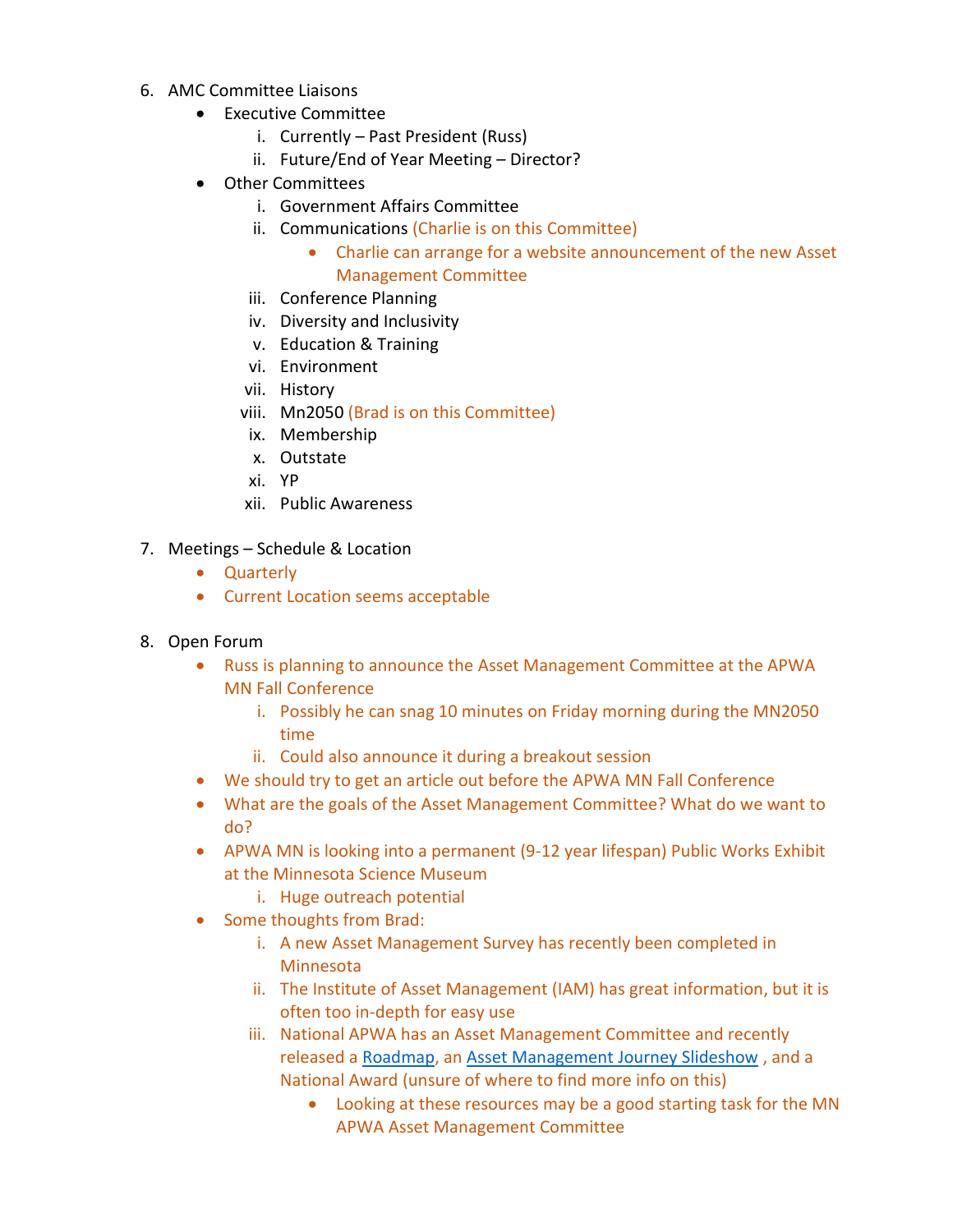- 6. AMC Committee Liaisons
	- Executive Committee
		- i. Currently Past President (Russ)
		- ii. Future/End of Year Meeting Director?
	- Other Committees
		- i. Government Affairs Committee
		- ii. Communications (Charlie is on this Committee)
			- Charlie can arrange for a website announcement of the new Asset Management Committee
		- iii. Conference Planning
		- iv. Diversity and Inclusivity
		- v. Education & Training
		- vi. Environment
		- vii. History
		- viii. Mn2050 (Brad is on this Committee)
		- ix. Membership
		- x. Outstate
		- xi. YP
		- xii. Public Awareness
- 7. Meetings Schedule & Location
	- Quarterly
	- Current Location seems acceptable
- 8. Open Forum
	- Russ is planning to announce the Asset Management Committee at the APWA MN Fall Conference
		- i. Possibly he can snag 10 minutes on Friday morning during the MN2050 time
		- ii. Could also announce it during a breakout session
	- We should try to get an article out before the APWA MN Fall Conference
	- What are the goals of the Asset Management Committee? What do we want to do?
	- APWA MN is looking into a permanent (9-12 year lifespan) Public Works Exhibit at the Minnesota Science Museum
		- i. Huge outreach potential
	- Some thoughts from Brad:
		- i. A new Asset Management Survey has recently been completed in Minnesota
		- ii. The Institute of Asset Management (IAM) has great information, but it is often too in-depth for easy use
		- iii. National APWA has an Asset Management Committee and recently released a [Roadmap,](https://www.apwa.net/MyApwa/Apwa_Public/Tech_Cmtes/Asset_Mgmt/Asset_Management_Roadmap.aspx) an [Asset Management Journey Slideshow](https://resourcecenter.apwa.net/1ie6vao/) , and a National Award (unsure of where to find more info on this)
			- Looking at these resources may be a good starting task for the MN APWA Asset Management Committee